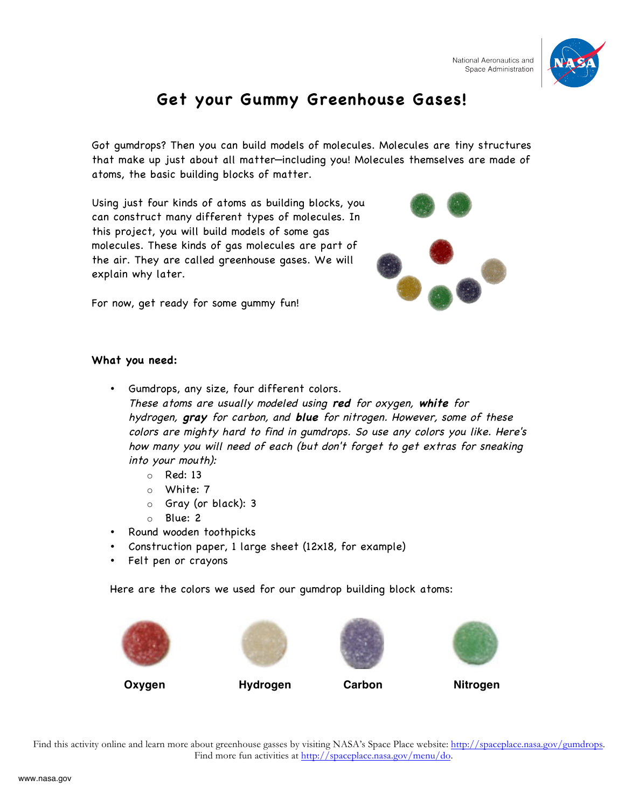

## **Get your Gummy Greenhouse Gases!**

Got gumdrops? Then you can build models of molecules. Molecules are tiny structures that make up just about all matter—including you! Molecules themselves are made of atoms, the basic building blocks of matter.

Using just four kinds of atoms as building blocks, you can construct many different types of molecules. In this project, you will build models of some gas molecules. These kinds of gas molecules are part of the air. They are called greenhouse gases. We will explain why later.



For now, get ready for some gummy fun!

## **What you need:**

- Gumdrops, any size, four different colors. These atoms are usually modeled using **red** for oxygen, **white** for
	- hydrogen, **gray** for carbon, and **blue** for nitrogen. However, some of these colors are mighty hard to find in gumdrops. So use any colors you like. Here's how many you will need of each (but don't forget to get extras for sneaking into your mouth):
		- $O$  Red: 13
		- o White: 7
		- o Gray (or black): 3
		- o Blue: 2
- Round wooden toothpicks
- Construction paper, 1 large sheet (12x18, for example)
- Felt pen or crayons

Here are the colors we used for our gumdrop building block atoms:









Find this activity online and learn more about greenhouse gasses by visiting NASA's Space Place website: http://spaceplace.nasa.gov/gumdrops. Find more fun activities at http://spaceplace.nasa.gov/menu/do.